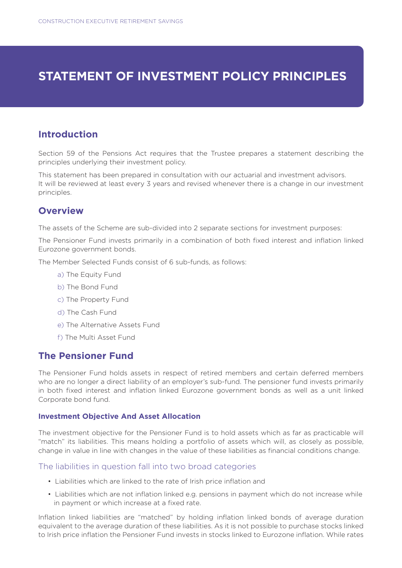# **STATEMENT OF INVESTMENT POLICY PRINCIPLES**

### **Introduction**

Section 59 of the Pensions Act requires that the Trustee prepares a statement describing the principles underlying their investment policy.

This statement has been prepared in consultation with our actuarial and investment advisors. It will be reviewed at least every 3 years and revised whenever there is a change in our investment principles.

#### **Overview**

The assets of the Scheme are sub-divided into 2 separate sections for investment purposes:

The Pensioner Fund invests primarily in a combination of both fixed interest and inflation linked Eurozone government bonds.

The Member Selected Funds consist of 6 sub-funds, as follows:

- a) The Equity Fund
- b) The Bond Fund
- c) The Property Fund
- d) The Cash Fund
- e) The Alternative Assets Fund
- f) The Multi Asset Fund

#### **The Pensioner Fund**

The Pensioner Fund holds assets in respect of retired members and certain deferred members who are no longer a direct liability of an employer's sub-fund. The pensioner fund invests primarily in both fixed interest and inflation linked Eurozone government bonds as well as a unit linked Corporate bond fund.

#### **Investment Objective And Asset Allocation**

The investment objective for the Pensioner Fund is to hold assets which as far as practicable will "match" its liabilities. This means holding a portfolio of assets which will, as closely as possible, change in value in line with changes in the value of these liabilities as financial conditions change.

#### The liabilities in question fall into two broad categories

- Liabilities which are linked to the rate of Irish price inflation and
- Liabilities which are not inflation linked e.g. pensions in payment which do not increase while in payment or which increase at a fixed rate.

Inflation linked liabilities are "matched" by holding inflation linked bonds of average duration equivalent to the average duration of these liabilities. As it is not possible to purchase stocks linked to Irish price inflation the Pensioner Fund invests in stocks linked to Eurozone inflation. While rates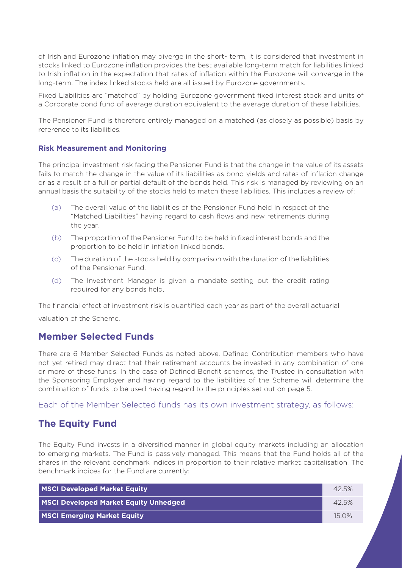of Irish and Eurozone inflation may diverge in the short- term, it is considered that investment in stocks linked to Eurozone inflation provides the best available long-term match for liabilities linked to Irish inflation in the expectation that rates of inflation within the Eurozone will converge in the long-term. The index linked stocks held are all issued by Eurozone governments.

Fixed Liabilities are "matched" by holding Eurozone government fixed interest stock and units of a Corporate bond fund of average duration equivalent to the average duration of these liabilities.

The Pensioner Fund is therefore entirely managed on a matched (as closely as possible) basis by reference to its liabilities.

#### **Risk Measurement and Monitoring**

The principal investment risk facing the Pensioner Fund is that the change in the value of its assets fails to match the change in the value of its liabilities as bond yields and rates of inflation change or as a result of a full or partial default of the bonds held. This risk is managed by reviewing on an annual basis the suitability of the stocks held to match these liabilities. This includes a review of:

- (a) The overall value of the liabilities of the Pensioner Fund held in respect of the "Matched Liabilities" having regard to cash flows and new retirements during the year.
- (b) The proportion of the Pensioner Fund to be held in fixed interest bonds and the proportion to be held in inflation linked bonds.
- (c) The duration of the stocks held by comparison with the duration of the liabilities of the Pensioner Fund.
- (d) The Investment Manager is given a mandate setting out the credit rating required for any bonds held.

The financial effect of investment risk is quantified each year as part of the overall actuarial valuation of the Scheme.

# **Member Selected Funds**

There are 6 Member Selected Funds as noted above. Defined Contribution members who have not yet retired may direct that their retirement accounts be invested in any combination of one or more of these funds. In the case of Defined Benefit schemes, the Trustee in consultation with the Sponsoring Employer and having regard to the liabilities of the Scheme will determine the combination of funds to be used having regard to the principles set out on page 5.

Each of the Member Selected funds has its own investment strategy, as follows:

### **The Equity Fund**

The Equity Fund invests in a diversified manner in global equity markets including an allocation to emerging markets. The Fund is passively managed. This means that the Fund holds all of the shares in the relevant benchmark indices in proportion to their relative market capitalisation. The benchmark indices for the Fund are currently:

| MSCI Developed Market Equity                 | 42.5% |
|----------------------------------------------|-------|
| <b>MSCI Developed Market Equity Unhedged</b> | 42.5% |
| <b>MSCI Emerging Market Equity</b>           | 150%  |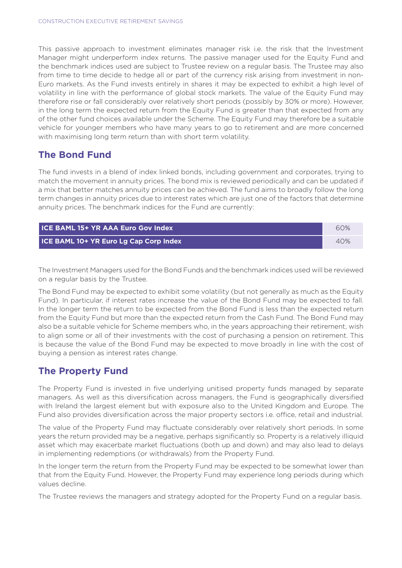This passive approach to investment eliminates manager risk i.e. the risk that the Investment Manager might underperform index returns. The passive manager used for the Equity Fund and the benchmark indices used are subject to Trustee review on a regular basis. The Trustee may also from time to time decide to hedge all or part of the currency risk arising from investment in non-Euro markets. As the Fund invests entirely in shares it may be expected to exhibit a high level of volatility in line with the performance of global stock markets. The value of the Equity Fund may therefore rise or fall considerably over relatively short periods (possibly by 30% or more). However, in the long term the expected return from the Equity Fund is greater than that expected from any of the other fund choices available under the Scheme. The Equity Fund may therefore be a suitable vehicle for younger members who have many years to go to retirement and are more concerned with maximising long term return than with short term volatility.

### **The Bond Fund**

The fund invests in a blend of index linked bonds, including government and corporates, trying to match the movement in annuity prices. The bond mix is reviewed periodically and can be updated if a mix that better matches annuity prices can be achieved. The fund aims to broadly follow the long term changes in annuity prices due to interest rates which are just one of the factors that determine annuity prices. The benchmark indices for the Fund are currently:

| <b>I ICE BAML 15+ YR AAA Euro Gov Index</b> | 60% |
|---------------------------------------------|-----|
| ICE BAML 10+ YR Euro Lg Cap Corp Index      | 40% |

The Investment Managers used for the Bond Funds and the benchmark indices used will be reviewed on a regular basis by the Trustee.

The Bond Fund may be expected to exhibit some volatility (but not generally as much as the Equity Fund). In particular, if interest rates increase the value of the Bond Fund may be expected to fall. In the longer term the return to be expected from the Bond Fund is less than the expected return from the Equity Fund but more than the expected return from the Cash Fund. The Bond Fund may also be a suitable vehicle for Scheme members who, in the years approaching their retirement, wish to align some or all of their investments with the cost of purchasing a pension on retirement. This is because the value of the Bond Fund may be expected to move broadly in line with the cost of buying a pension as interest rates change.

#### **The Property Fund**

The Property Fund is invested in five underlying unitised property funds managed by separate managers. As well as this diversification across managers, the Fund is geographically diversified with Ireland the largest element but with exposure also to the United Kingdom and Europe. The Fund also provides diversification across the major property sectors i.e. office, retail and industrial.

The value of the Property Fund may fluctuate considerably over relatively short periods. In some years the return provided may be a negative, perhaps significantly so. Property is a relatively illiquid asset which may exacerbate market fluctuations (both up and down) and may also lead to delays in implementing redemptions (or withdrawals) from the Property Fund.

In the longer term the return from the Property Fund may be expected to be somewhat lower than that from the Equity Fund. However, the Property Fund may experience long periods during which values decline.

The Trustee reviews the managers and strategy adopted for the Property Fund on a regular basis.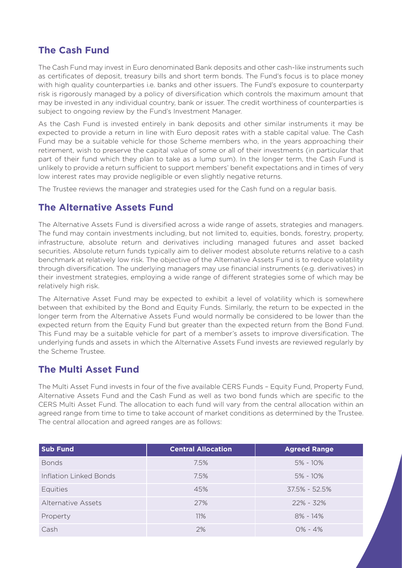# **The Cash Fund**

The Cash Fund may invest in Euro denominated Bank deposits and other cash-like instruments such as certificates of deposit, treasury bills and short term bonds. The Fund's focus is to place money with high quality counterparties i.e. banks and other issuers. The Fund's exposure to counterparty risk is rigorously managed by a policy of diversification which controls the maximum amount that may be invested in any individual country, bank or issuer. The credit worthiness of counterparties is subject to ongoing review by the Fund's Investment Manager.

As the Cash Fund is invested entirely in bank deposits and other similar instruments it may be expected to provide a return in line with Euro deposit rates with a stable capital value. The Cash Fund may be a suitable vehicle for those Scheme members who, in the years approaching their retirement, wish to preserve the capital value of some or all of their investments (in particular that part of their fund which they plan to take as a lump sum). In the longer term, the Cash Fund is unlikely to provide a return sufficient to support members' benefit expectations and in times of very low interest rates may provide negligible or even slightly negative returns.

The Trustee reviews the manager and strategies used for the Cash fund on a regular basis.

# **The Alternative Assets Fund**

The Alternative Assets Fund is diversified across a wide range of assets, strategies and managers. The fund may contain investments including, but not limited to, equities, bonds, forestry, property, infrastructure, absolute return and derivatives including managed futures and asset backed securities. Absolute return funds typically aim to deliver modest absolute returns relative to a cash benchmark at relatively low risk. The objective of the Alternative Assets Fund is to reduce volatility through diversification. The underlying managers may use financial instruments (e.g. derivatives) in their investment strategies, employing a wide range of different strategies some of which may be relatively high risk.

The Alternative Asset Fund may be expected to exhibit a level of volatility which is somewhere between that exhibited by the Bond and Equity Funds. Similarly, the return to be expected in the longer term from the Alternative Assets Fund would normally be considered to be lower than the expected return from the Equity Fund but greater than the expected return from the Bond Fund. This Fund may be a suitable vehicle for part of a member's assets to improve diversification. The underlying funds and assets in which the Alternative Assets Fund invests are reviewed regularly by the Scheme Trustee.

# **The Multi Asset Fund**

The Multi Asset Fund invests in four of the five available CERS Funds – Equity Fund, Property Fund, Alternative Assets Fund and the Cash Fund as well as two bond funds which are specific to the CERS Multi Asset Fund. The allocation to each fund will vary from the central allocation within an agreed range from time to time to take account of market conditions as determined by the Trustee. The central allocation and agreed ranges are as follows:

| <b>Sub Fund</b>           | <b>Central Allocation</b> | <b>Agreed Range</b> |
|---------------------------|---------------------------|---------------------|
| <b>Bonds</b>              | 7.5%                      | $5\% - 10\%$        |
| Inflation Linked Bonds    | 7.5%                      | $5\% - 10\%$        |
| <b>Equities</b>           | 45%                       | $37.5\% - 52.5\%$   |
| <b>Alternative Assets</b> | 27%                       | $22\% - 32\%$       |
| Property                  | 11%                       | $8\% - 14\%$        |
| Cash                      | 2%                        | $0\% - 4\%$         |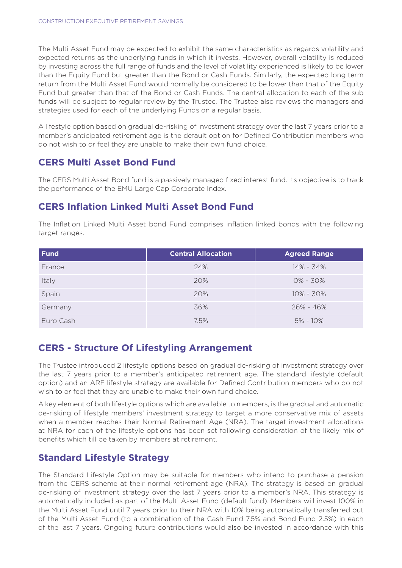The Multi Asset Fund may be expected to exhibit the same characteristics as regards volatility and expected returns as the underlying funds in which it invests. However, overall volatility is reduced by investing across the full range of funds and the level of volatility experienced is likely to be lower than the Equity Fund but greater than the Bond or Cash Funds. Similarly, the expected long term return from the Multi Asset Fund would normally be considered to be lower than that of the Equity Fund but greater than that of the Bond or Cash Funds. The central allocation to each of the sub funds will be subject to regular review by the Trustee. The Trustee also reviews the managers and strategies used for each of the underlying Funds on a regular basis.

A lifestyle option based on gradual de-risking of investment strategy over the last 7 years prior to a member's anticipated retirement age is the default option for Defined Contribution members who do not wish to or feel they are unable to make their own fund choice.

# **CERS Multi Asset Bond Fund**

The CERS Multi Asset Bond fund is a passively managed fixed interest fund. Its objective is to track the performance of the EMU Large Cap Corporate Index.

# **CERS Inflation Linked Multi Asset Bond Fund**

The Inflation Linked Multi Asset bond Fund comprises inflation linked bonds with the following target ranges.

| <b>Fund</b> | <b>Central Allocation</b> | <b>Agreed Range</b> |
|-------------|---------------------------|---------------------|
| France      | 24%                       | 14% - 34%           |
| Italy       | 20%                       | $0\% - 30\%$        |
| Spain       | 20%                       | $10\% - 30\%$       |
| Germany     | 36%                       | 26% - 46%           |
| Euro Cash   | 7.5%                      | $5\% - 10\%$        |

# **CERS - Structure Of Lifestyling Arrangement**

The Trustee introduced 2 lifestyle options based on gradual de-risking of investment strategy over the last 7 years prior to a member's anticipated retirement age. The standard lifestyle (default option) and an ARF lifestyle strategy are available for Defined Contribution members who do not wish to or feel that they are unable to make their own fund choice.

A key element of both lifestyle options which are available to members, is the gradual and automatic de-risking of lifestyle members' investment strategy to target a more conservative mix of assets when a member reaches their Normal Retirement Age (NRA). The target investment allocations at NRA for each of the lifestyle options has been set following consideration of the likely mix of benefits which till be taken by members at retirement.

# **Standard Lifestyle Strategy**

The Standard Lifestyle Option may be suitable for members who intend to purchase a pension from the CERS scheme at their normal retirement age (NRA). The strategy is based on gradual de-risking of investment strategy over the last 7 years prior to a member's NRA. This strategy is automatically included as part of the Multi Asset Fund (default fund). Members will invest 100% in the Multi Asset Fund until 7 years prior to their NRA with 10% being automatically transferred out of the Multi Asset Fund (to a combination of the Cash Fund 7.5% and Bond Fund 2.5%) in each of the last 7 years. Ongoing future contributions would also be invested in accordance with this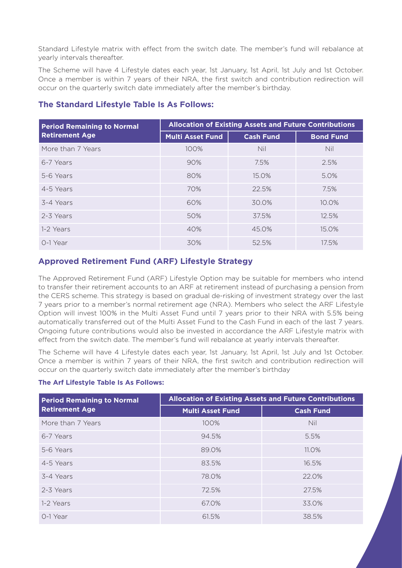Standard Lifestyle matrix with effect from the switch date. The member's fund will rebalance at yearly intervals thereafter.

The Scheme will have 4 Lifestyle dates each year, 1st January, 1st April, 1st July and 1st October. Once a member is within 7 years of their NRA, the first switch and contribution redirection will occur on the quarterly switch date immediately after the member's birthday.

| <b>Period Remaining to Normal</b> | <b>Allocation of Existing Assets and Future Contributions</b> |                  |                  |
|-----------------------------------|---------------------------------------------------------------|------------------|------------------|
| <b>Retirement Age</b>             | <b>Multi Asset Fund</b>                                       | <b>Cash Fund</b> | <b>Bond Fund</b> |
| More than 7 Years                 | 100%                                                          | <b>Nil</b>       | <b>Nil</b>       |
| 6-7 Years                         | 90%                                                           | 7.5%             | 2.5%             |
| 5-6 Years                         | 80%                                                           | 15.0%            | 5.0%             |
| 4-5 Years                         | 70%                                                           | 22.5%            | 7.5%             |
| 3-4 Years                         | 60%                                                           | 30.0%            | 10.0%            |
| 2-3 Years                         | 50%                                                           | 37.5%            | 12.5%            |
| 1-2 Years                         | 40%                                                           | 45.0%            | 15.0%            |
| 0-1 Year                          | 30%                                                           | 52.5%            | 17.5%            |

#### **The Standard Lifestyle Table Is As Follows:**

#### **Approved Retirement Fund (ARF) Lifestyle Strategy**

The Approved Retirement Fund (ARF) Lifestyle Option may be suitable for members who intend to transfer their retirement accounts to an ARF at retirement instead of purchasing a pension from the CERS scheme. This strategy is based on gradual de-risking of investment strategy over the last 7 years prior to a member's normal retirement age (NRA). Members who select the ARF Lifestyle Option will invest 100% in the Multi Asset Fund until 7 years prior to their NRA with 5.5% being automatically transferred out of the Multi Asset Fund to the Cash Fund in each of the last 7 years. Ongoing future contributions would also be invested in accordance the ARF Lifestyle matrix with effect from the switch date. The member's fund will rebalance at yearly intervals thereafter.

The Scheme will have 4 Lifestyle dates each year, 1st January, 1st April, 1st July and 1st October. Once a member is within 7 years of their NRA, the first switch and contribution redirection will occur on the quarterly switch date immediately after the member's birthday

#### **The Arf Lifestyle Table Is As Follows:**

| <b>Period Remaining to Normal</b> | <b>Allocation of Existing Assets and Future Contributions</b> |                  |  |
|-----------------------------------|---------------------------------------------------------------|------------------|--|
| <b>Retirement Age</b>             | <b>Multi Asset Fund</b>                                       | <b>Cash Fund</b> |  |
| More than 7 Years                 | 100%                                                          | Nil              |  |
| 6-7 Years                         | 94.5%                                                         | 5.5%             |  |
| 5-6 Years                         | 89.0%                                                         | 11.0%            |  |
| 4-5 Years                         | 83.5%                                                         | 16.5%            |  |
| 3-4 Years                         | 78.0%                                                         | 22.0%            |  |
| 2-3 Years                         | 72.5%                                                         | 27.5%            |  |
| 1-2 Years                         | 67.0%                                                         | 33.0%            |  |
| 0-1 Year                          | 61.5%                                                         | 38.5%            |  |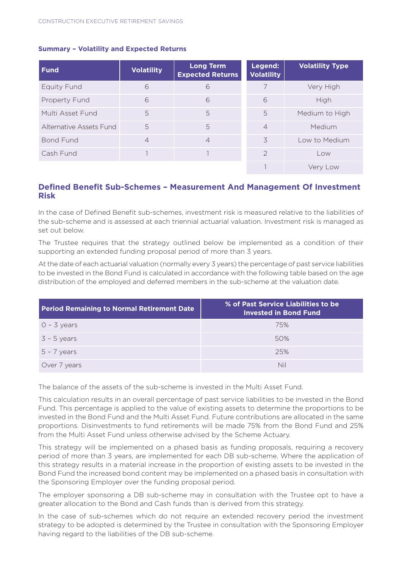| <b>Fund</b>             | <b>Volatility</b> | <b>Long Term</b><br><b>Expected Returns</b> | Legend:<br><b>Volatility</b> | <b>Volatility Type</b> |
|-------------------------|-------------------|---------------------------------------------|------------------------------|------------------------|
| <b>Equity Fund</b>      | 6                 | 6                                           | 7                            | Very High              |
| Property Fund           | 6                 | 6                                           | 6                            | High                   |
| Multi Asset Fund        | 5                 | 5                                           | 5                            | Medium to High         |
| Alternative Assets Fund | 5                 | 5                                           | $\overline{4}$               | Medium                 |
| <b>Bond Fund</b>        | $\overline{4}$    | $\overline{4}$                              | 3                            | Low to Medium          |
| Cash Fund               |                   |                                             | $\mathcal{P}$                | Low                    |
|                         |                   |                                             |                              | Very Low               |

#### **Summary – Volatility and Expected Returns**

#### **Defined Benefit Sub-Schemes – Measurement And Management Of Investment Risk**

In the case of Defined Benefit sub-schemes, investment risk is measured relative to the liabilities of the sub-scheme and is assessed at each triennial actuarial valuation. Investment risk is managed as set out below.

The Trustee requires that the strategy outlined below be implemented as a condition of their supporting an extended funding proposal period of more than 3 years.

At the date of each actuarial valuation (normally every 3 years) the percentage of past service liabilities to be invested in the Bond Fund is calculated in accordance with the following table based on the age distribution of the employed and deferred members in the sub-scheme at the valuation date.

| <b>Period Remaining to Normal Retirement Date</b> | % of Past Service Liabilities to be<br><b>Invested in Bond Fund</b> |
|---------------------------------------------------|---------------------------------------------------------------------|
| $0 - 3$ years                                     | 75%                                                                 |
| $3 - 5$ years                                     | 50%                                                                 |
| $5 - 7$ years                                     | 25%                                                                 |
| Over 7 years                                      | Nil                                                                 |

The balance of the assets of the sub-scheme is invested in the Multi Asset Fund.

This calculation results in an overall percentage of past service liabilities to be invested in the Bond Fund. This percentage is applied to the value of existing assets to determine the proportions to be invested in the Bond Fund and the Multi Asset Fund. Future contributions are allocated in the same proportions. Disinvestments to fund retirements will be made 75% from the Bond Fund and 25% from the Multi Asset Fund unless otherwise advised by the Scheme Actuary.

This strategy will be implemented on a phased basis as funding proposals, requiring a recovery period of more than 3 years, are implemented for each DB sub-scheme. Where the application of this strategy results in a material increase in the proportion of existing assets to be invested in the Bond Fund the increased bond content may be implemented on a phased basis in consultation with the Sponsoring Employer over the funding proposal period.

The employer sponsoring a DB sub-scheme may in consultation with the Trustee opt to have a greater allocation to the Bond and Cash funds than is derived from this strategy.

In the case of sub-schemes which do not require an extended recovery period the investment strategy to be adopted is determined by the Trustee in consultation with the Sponsoring Employer having regard to the liabilities of the DB sub-scheme.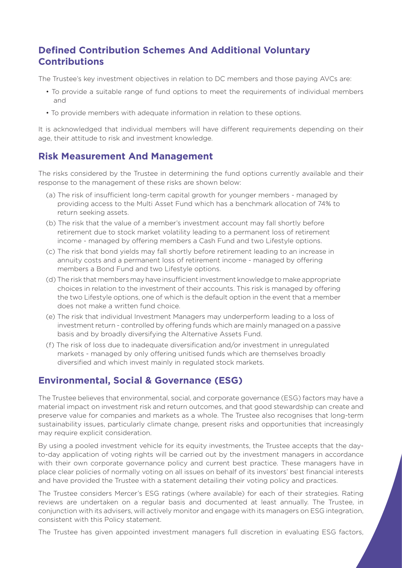# **Defined Contribution Schemes And Additional Voluntary Contributions**

The Trustee's key investment objectives in relation to DC members and those paying AVCs are:

- To provide a suitable range of fund options to meet the requirements of individual members and
- To provide members with adequate information in relation to these options.

It is acknowledged that individual members will have different requirements depending on their age, their attitude to risk and investment knowledge.

# **Risk Measurement And Management**

The risks considered by the Trustee in determining the fund options currently available and their response to the management of these risks are shown below:

- (a) The risk of insufficient long-term capital growth for younger members managed by providing access to the Multi Asset Fund which has a benchmark allocation of 74% to return seeking assets.
- (b) The risk that the value of a member's investment account may fall shortly before retirement due to stock market volatility leading to a permanent loss of retirement income - managed by offering members a Cash Fund and two Lifestyle options.
- (c) The risk that bond yields may fall shortly before retirement leading to an increase in annuity costs and a permanent loss of retirement income - managed by offering members a Bond Fund and two Lifestyle options.
- (d) The risk that members may have insufficient investment knowledge to make appropriate choices in relation to the investment of their accounts. This risk is managed by offering the two Lifestyle options, one of which is the default option in the event that a member does not make a written fund choice.
- (e) The risk that individual Investment Managers may underperform leading to a loss of investment return - controlled by offering funds which are mainly managed on a passive basis and by broadly diversifying the Alternative Assets Fund.
- (f) The risk of loss due to inadequate diversification and/or investment in unregulated markets - managed by only offering unitised funds which are themselves broadly diversified and which invest mainly in regulated stock markets.

# **Environmental, Social & Governance (ESG)**

The Trustee believes that environmental, social, and corporate governance (ESG) factors may have a material impact on investment risk and return outcomes, and that good stewardship can create and preserve value for companies and markets as a whole. The Trustee also recognises that long-term sustainability issues, particularly climate change, present risks and opportunities that increasingly may require explicit consideration.

By using a pooled investment vehicle for its equity investments, the Trustee accepts that the dayto-day application of voting rights will be carried out by the investment managers in accordance with their own corporate governance policy and current best practice. These managers have in place clear policies of normally voting on all issues on behalf of its investors' best financial interests and have provided the Trustee with a statement detailing their voting policy and practices.

The Trustee considers Mercer's ESG ratings (where available) for each of their strategies. Rating reviews are undertaken on a regular basis and documented at least annually. The Trustee, in conjunction with its advisers, will actively monitor and engage with its managers on ESG integration, consistent with this Policy statement.

The Trustee has given appointed investment managers full discretion in evaluating ESG factors,